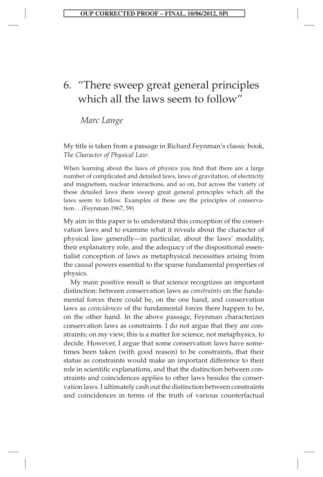# 6. "There sweep great general principles which all the laws seem to follow"

## *Marc Lange*

 My title is taken from a passage in Richard Feynman's classic book, *The Character of Physical Law* :

When learning about the laws of physics you find that there are a large number of complicated and detailed laws, laws of gravitation, of electricity and magnetism, nuclear interactions, and so on, but across the variety of these detailed laws there sweep great general principles which all the laws seem to follow. Examples of these are the principles of conservation . . . ( Feynman 1967 , 59)

 My aim in this paper is to understand this conception of the conservation laws and to examine what it reveals about the character of physical law generally—in particular, about the laws' modality, their explanatory role, and the adequacy of the dispositional essentialist conception of laws as metaphysical necessities arising from the causal powers essential to the sparse fundamental properties of physics.

 My main positive result is that science recognizes an important distinction: between conservation laws as *constraints* on the fundamental forces there could be, on the one hand, and conservation laws as *coincidences* of the fundamental forces there happen to be, on the other hand. In the above passage, Feynman characterizes conservation laws as constraints. I do not argue that they are constraints; on my view, this is a matter for science, not metaphysics, to decide. However, I argue that some conservation laws have sometimes been taken (with good reason) to be constraints, that their status as constraints would make an important difference to their role in scientific explanations, and that the distinction between constraints and coincidences applies to other laws besides the conservation laws. I ultimately cash out the distinction between constraints and coincidences in terms of the truth of various counterfactual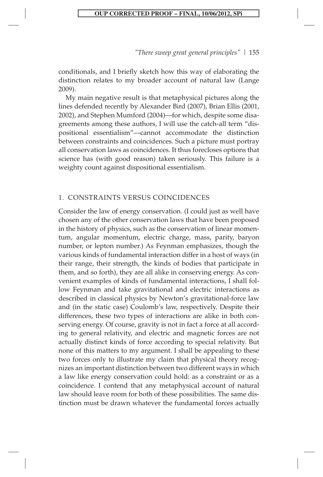conditionals, and I briefly sketch how this way of elaborating the distinction relates to my broader account of natural law (Lange 2009).

 My main negative result is that metaphysical pictures along the lines defended recently by Alexander Bird (2007), Brian Ellis (2001, 2002), and Stephen Mumford (2004)—for which, despite some disagreements among these authors, I will use the catch-all term "dispositional essentialism"—cannot accommodate the distinction between constraints and coincidences. Such a picture must portray all conservation laws as coincidences. It thus forecloses options that science has (with good reason) taken seriously. This failure is a weighty count against dispositional essentialism.

### 1. CONSTRAINTS VERSUS COINCIDENCES

 Consider the law of energy conservation. (I could just as well have chosen any of the other conservation laws that have been proposed in the history of physics, such as the conservation of linear momentum, angular momentum, electric charge, mass, parity, baryon number, or lepton number.) As Feynman emphasizes, though the various kinds of fundamental interaction differ in a host of ways (in their range, their strength, the kinds of bodies that participate in them, and so forth), they are all alike in conserving energy. As convenient examples of kinds of fundamental interactions, I shall follow Feynman and take gravitational and electric interactions as described in classical physics by Newton's gravitational-force law and (in the static case) Coulomb's law, respectively. Despite their differences, these two types of interactions are alike in both conserving energy. Of course, gravity is not in fact a force at all according to general relativity, and electric and magnetic forces are not actually distinct kinds of force according to special relativity. But none of this matters to my argument. I shall be appealing to these two forces only to illustrate my claim that physical theory recognizes an important distinction between two different ways in which a law like energy conservation could hold: as a constraint or as a coincidence. I contend that any metaphysical account of natural law should leave room for both of these possibilities. The same distinction must be drawn whatever the fundamental forces actually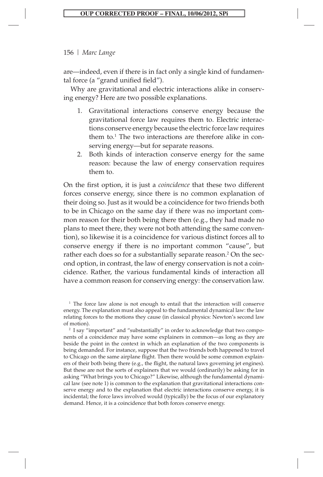are—indeed, even if there is in fact only a single kind of fundamental force (a "grand unified field").

 Why are gravitational and electric interactions alike in conserving energy? Here are two possible explanations.

- 1. Gravitational interactions conserve energy because the gravitational force law requires them to. Electric interactions conserve energy because the electric force law requires them to. $<sup>1</sup>$  The two interactions are therefore alike in con-</sup> serving energy—but for separate reasons.
- 2. Both kinds of interaction conserve energy for the same reason: because the law of energy conservation requires them to.

On the first option, it is just a *coincidence* that these two different forces conserve energy, since there is no common explanation of their doing so. Just as it would be a coincidence for two friends both to be in Chicago on the same day if there was no important common reason for their both being there then (e.g., they had made no plans to meet there, they were not both attending the same convention), so likewise it is a coincidence for various distinct forces all to conserve energy if there is no important common "cause", but rather each does so for a substantially separate reason.<sup>2</sup> On the second option, in contrast, the law of energy conservation is not a coincidence. Rather, the various fundamental kinds of interaction all have a common reason for conserving energy: the conservation law.

<sup>1</sup> The force law alone is not enough to entail that the interaction will conserve energy. The explanation must also appeal to the fundamental dynamical law: the law relating forces to the motions they cause (in classical physics: Newton's second law

of motion).<br><sup>2</sup> I say "important" and "substantially" in order to acknowledge that two components of a coincidence may have some explainers in common—as long as they are beside the point in the context in which an explanation of the two components is being demanded. For instance, suppose that the two friends both happened to travel to Chicago on the same airplane flight. Then there would be some common explainers of their both being there (e.g., the flight, the natural laws governing jet engines). But these are not the sorts of explainers that we would (ordinarily) be asking for in asking "What brings you to Chicago?" Likewise, although the fundamental dynamical law (see note 1) is common to the explanation that gravitational interactions conserve energy and to the explanation that electric interactions conserve energy, it is incidental; the force laws involved would (typically) be the focus of our explanatory demand. Hence, it is a coincidence that both forces conserve energy.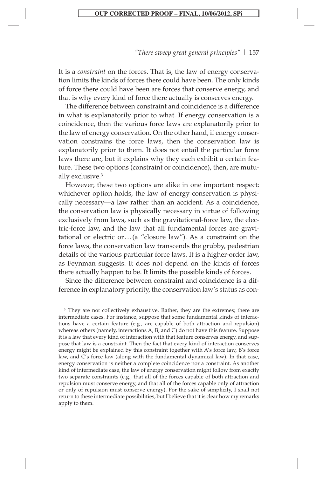It is a *constraint* on the forces. That is, the law of energy conservation limits the kinds of forces there could have been. The only kinds of force there could have been are forces that conserve energy, and that is why every kind of force there actually is conserves energy.

 The difference between constraint and coincidence is a difference in what is explanatorily prior to what. If energy conservation is a coincidence, then the various force laws are explanatorily prior to the law of energy conservation. On the other hand, if energy conservation constrains the force laws, then the conservation law is explanatorily prior to them. It does not entail the particular force laws there are, but it explains why they each exhibit a certain feature. These two options (constraint or coincidence), then, are mutually exclusive.<sup>3</sup>

 However, these two options are alike in one important respect: whichever option holds, the law of energy conservation is physically necessary—a law rather than an accident. As a coincidence, the conservation law is physically necessary in virtue of following exclusively from laws, such as the gravitational-force law, the electric-force law, and the law that all fundamental forces are gravitational or electric or  $\dots$  (a "closure law"). As a constraint on the force laws, the conservation law transcends the grubby, pedestrian details of the various particular force laws. It is a higher-order law, as Feynman suggests. It does not depend on the kinds of forces there actually happen to be. It limits the possible kinds of forces.

 Since the difference between constraint and coincidence is a difference in explanatory priority, the conservation law's status as con-

<sup>3</sup> They are not collectively exhaustive. Rather, they are the extremes; there are intermediate cases. For instance, suppose that some fundamental kinds of interactions have a certain feature (e.g., are capable of both attraction and repulsion) whereas others (namely, interactions A, B, and C) do not have this feature. Suppose it is a law that every kind of interaction with that feature conserves energy, and suppose that law is a constraint. Then the fact that every kind of interaction conserves energy might be explained by this constraint together with A's force law, B's force law, and C's force law (along with the fundamental dynamical law). In that case, energy conservation is neither a complete coincidence nor a constraint. As another kind of intermediate case, the law of energy conservation might follow from exactly two separate constraints (e.g., that all of the forces capable of both attraction and repulsion must conserve energy, and that all of the forces capable only of attraction or only of repulsion must conserve energy). For the sake of simplicity, I shall not return to these intermediate possibilities, but I believe that it is clear how my remarks apply to them.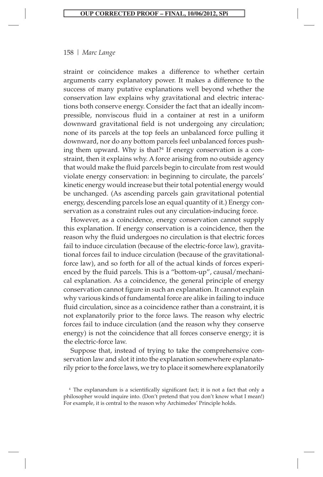straint or coincidence makes a difference to whether certain arguments carry explanatory power. It makes a difference to the success of many putative explanations well beyond whether the conservation law explains why gravitational and electric interactions both conserve energy. Consider the fact that an ideally incompressible, nonviscous fluid in a container at rest in a uniform downward gravitational field is not undergoing any circulation; none of its parcels at the top feels an unbalanced force pulling it downward, nor do any bottom parcels feel unbalanced forces pushing them upward. Why is that?<sup>4</sup> If energy conservation is a constraint, then it explains why. A force arising from no outside agency that would make the fluid parcels begin to circulate from rest would violate energy conservation: in beginning to circulate, the parcels' kinetic energy would increase but their total potential energy would be unchanged. (As ascending parcels gain gravitational potential energy, descending parcels lose an equal quantity of it.) Energy conservation as a constraint rules out any circulation-inducing force.

 However, as a coincidence, energy conservation cannot supply this explanation. If energy conservation is a coincidence, then the reason why the fluid undergoes no circulation is that electric forces fail to induce circulation (because of the electric-force law), gravitational forces fail to induce circulation (because of the gravitationalforce law), and so forth for all of the actual kinds of forces experi enced by the fluid parcels. This is a "bottom-up", causal/mechanical explanation. As a coincidence, the general principle of energy conservation cannot figure in such an explanation. It cannot explain why various kinds of fundamental force are alike in failing to induce fluid circulation, since as a coincidence rather than a constraint, it is not explanatorily prior to the force laws. The reason why electric forces fail to induce circulation (and the reason why they conserve energy) is not the coincidence that all forces conserve energy; it is the electric-force law.

 Suppose that, instead of trying to take the comprehensive conservation law and slot it into the explanation somewhere explanatorily prior to the force laws, we try to place it somewhere explanatorily

<sup>&</sup>lt;sup>4</sup> The explanandum is a scientifically significant fact; it is not a fact that only a philosopher would inquire into. (Don't pretend that you don't know what I mean!) For example, it is central to the reason why Archimedes' Principle holds.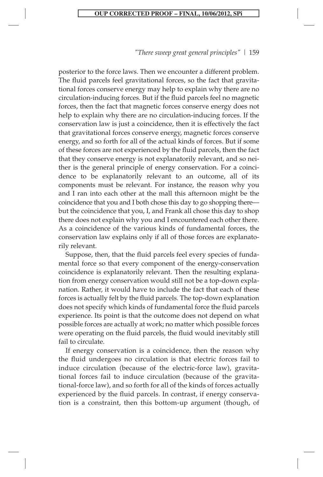posterior to the force laws. Then we encounter a different problem. The fluid parcels feel gravitational forces, so the fact that gravitational forces conserve energy may help to explain why there are no circulation-inducing forces. But if the fluid parcels feel no magnetic forces, then the fact that magnetic forces conserve energy does not help to explain why there are no circulation-inducing forces. If the conservation law is just a coincidence, then it is effectively the fact that gravitational forces conserve energy, magnetic forces conserve energy, and so forth for all of the actual kinds of forces. But if some of these forces are not experienced by the fluid parcels, then the fact that they conserve energy is not explanatorily relevant, and so neither is the general principle of energy conservation. For a coincidence to be explanatorily relevant to an outcome, all of its components must be relevant. For instance, the reason why you and I ran into each other at the mall this afternoon might be the coincidence that you and I both chose this day to go shopping there but the coincidence that you, I, and Frank all chose this day to shop there does not explain why you and I encountered each other there. As a coincidence of the various kinds of fundamental forces, the conservation law explains only if all of those forces are explanatorily relevant.

Suppose, then, that the fluid parcels feel every species of fundamental force so that every component of the energy-conservation coincidence is explanatorily relevant. Then the resulting explanation from energy conservation would still not be a top-down explanation. Rather, it would have to include the fact that each of these forces is actually felt by the fluid parcels. The top-down explanation does not specify which kinds of fundamental force the fluid parcels experience. Its point is that the outcome does not depend on what possible forces are actually at work; no matter which possible forces were operating on the fluid parcels, the fluid would inevitably still fail to circulate.

 If energy conservation is a coincidence, then the reason why the fluid undergoes no circulation is that electric forces fail to induce circulation (because of the electric-force law), gravitational forces fail to induce circulation (because of the gravitational-force law), and so forth for all of the kinds of forces actually experienced by the fluid parcels. In contrast, if energy conservation is a constraint, then this bottom-up argument (though, of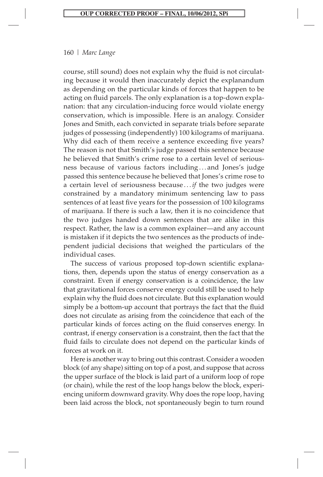course, still sound) does not explain why the fluid is not circulating because it would then inaccurately depict the explanandum as depending on the particular kinds of forces that happen to be acting on fluid parcels. The only explanation is a top-down explanation: that any circulation-inducing force would violate energy conservation, which is impossible. Here is an analogy. Consider Jones and Smith, each convicted in separate trials before separate judges of possessing (independently) 100 kilograms of marijuana. Why did each of them receive a sentence exceeding five years? The reason is not that Smith's judge passed this sentence because he believed that Smith's crime rose to a certain level of seriousness because of various factors including . . . and Jones's judge passed this sentence because he believed that Jones's crime rose to a certain level of seriousness because ... *if* the two judges were constrained by a mandatory minimum sentencing law to pass sentences of at least five years for the possession of 100 kilograms of marijuana. If there is such a law, then it is no coincidence that the two judges handed down sentences that are alike in this respect. Rather, the law is a common explainer—and any account is mistaken if it depicts the two sentences as the products of independent judicial decisions that weighed the particulars of the individual cases.

The success of various proposed top-down scientific explanations, then, depends upon the status of energy conservation as a constraint. Even if energy conservation is a coincidence, the law that gravitational forces conserve energy could still be used to help explain why the fluid does not circulate. But this explanation would simply be a bottom-up account that portrays the fact that the fluid does not circulate as arising from the coincidence that each of the particular kinds of forces acting on the fluid conserves energy. In contrast, if energy conservation is a constraint, then the fact that the fluid fails to circulate does not depend on the particular kinds of forces at work on it.

 Here is another way to bring out this contrast. Consider a wooden block (of any shape) sitting on top of a post, and suppose that across the upper surface of the block is laid part of a uniform loop of rope (or chain), while the rest of the loop hangs below the block, experiencing uniform downward gravity. Why does the rope loop, having been laid across the block, not spontaneously begin to turn round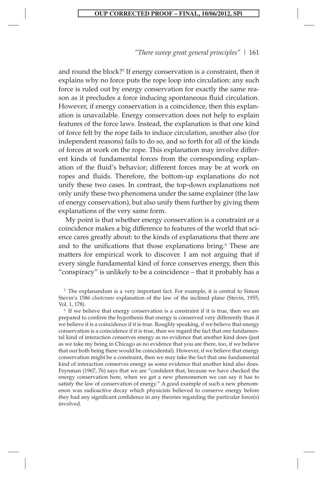and round the block?<sup>s</sup> If energy conservation is a constraint, then it explains why no force puts the rope loop into circulation: any such force is ruled out by energy conservation for exactly the same reason as it precludes a force inducing spontaneous fluid circulation. However, if energy conservation is a coincidence, then this explanation is unavailable. Energy conservation does not help to explain features of the force laws. Instead, the explanation is that one kind of force felt by the rope fails to induce circulation, another also (for independent reasons) fails to do so, and so forth for all of the kinds of forces at work on the rope. This explanation may involve different kinds of fundamental forces from the corresponding explanation of the fluid's behavior; different forces may be at work on ropes and fluids. Therefore, the bottom-up explanations do not unify these two cases. In contrast, the top-down explanations not only unify these two phenomena under the same explainer (the law of energy conservation), but also unify them further by giving them explanations of the very same form.

 My point is that whether energy conservation is a constraint or a coincidence makes a big difference to features of the world that science cares greatly about: to the kinds of explanations that there are and to the unifications that those explanations bring.<sup>6</sup> These are matters for empirical work to discover. I am not arguing that if every single fundamental kind of force conserves energy, then this "conspiracy" is unlikely to be a coincidence – that it probably has a

<sup>5</sup> The explanandum is a very important fact. For example, it is central to Simon Stevin's 1586 *clootcrans* explanation of the law of the inclined plane (Stevin, 1955, Vol. 1, 178). 6

 $6$  If we believe that energy conservation is a constraint if it is true, then we are prepared to confirm the hypothesis that energy is conserved very differently than if we believe it is a coincidence if it is true. Roughly speaking, if we believe that energy conservation is a coincidence if it is true, then we regard the fact that one fundamental kind of interaction conserves energy as no evidence that another kind does (just as we take my being in Chicago as no evidence that you are there, too, if we believe that our both being there would be coincidental). However, if we believe that energy conservation might be a constraint, then we may take the fact that one fundamental kind of interaction conserves energy as some evidence that another kind also does. Feynman (1967, 76) says that we are "confident that, because we have checked the energy conservation here, when we get a new phenomenon we can say it has to satisfy the law of conservation of energy." A good example of such a new phenomenon was radioactive decay which physicists believed to conserve energy before they had any significant confidence in any theories regarding the particular force(s) involved.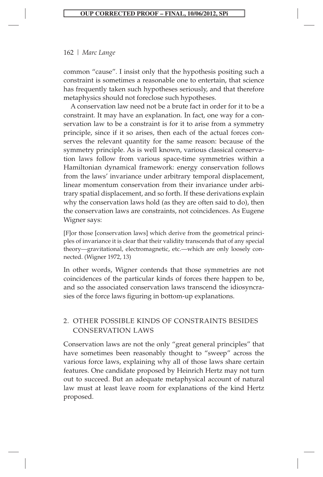common "cause". I insist only that the hypothesis positing such a constraint is sometimes a reasonable one to entertain, that science has frequently taken such hypotheses seriously, and that therefore metaphysics should not foreclose such hypotheses.

 A conservation law need not be a brute fact in order for it to be a constraint. It may have an explanation. In fact, one way for a conservation law to be a constraint is for it to arise from a symmetry principle, since if it so arises, then each of the actual forces conserves the relevant quantity for the same reason: because of the symmetry principle. As is well known, various classical conservation laws follow from various space-time symmetries within a Hamiltonian dynamical framework: energy conservation follows from the laws' invariance under arbitrary temporal displacement, linear momentum conservation from their invariance under arbitrary spatial displacement, and so forth. If these derivations explain why the conservation laws hold (as they are often said to do), then the conservation laws are constraints, not coincidences. As Eugene Wigner says:

 [F]or those [conservation laws] which derive from the geometrical principles of invariance it is clear that their validity transcends that of any special theory—gravitational, electromagnetic, etc.—which are only loosely connected. (Wigner 1972, 13)

 In other words, Wigner contends that those symmetries are not coincidences of the particular kinds of forces there happen to be, and so the associated conservation laws transcend the idiosyncrasies of the force laws figuring in bottom-up explanations.

## 2. OTHER POSSIBLE KINDS OF CONSTRAINTS BESIDES CONSERVATION LAWS

 Conservation laws are not the only "great general principles" that have sometimes been reasonably thought to "sweep" across the various force laws, explaining why all of those laws share certain features. One candidate proposed by Heinrich Hertz may not turn out to succeed. But an adequate metaphysical account of natural law must at least leave room for explanations of the kind Hertz proposed.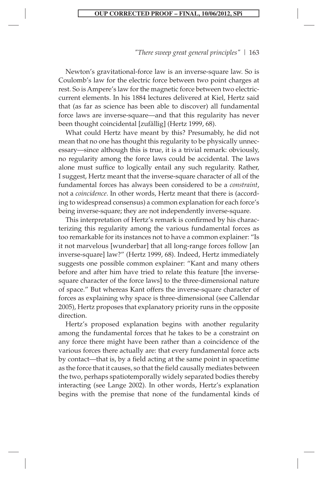Newton's gravitational-force law is an inverse-square law. So is Coulomb's law for the electric force between two point charges at rest. So is Ampere's law for the magnetic force between two electriccurrent elements. In his 1884 lectures delivered at Kiel, Hertz said that (as far as science has been able to discover) all fundamental force laws are inverse-square—and that this regularity has never been thought coincidental [zufällig] (Hertz 1999, 68).

 What could Hertz have meant by this? Presumably, he did not mean that no one has thought this regularity to be physically unnecessary—since although this is true, it is a trivial remark: obviously, no regularity among the force laws could be accidental. The laws alone must suffice to logically entail any such regularity. Rather, I suggest, Hertz meant that the inverse-square character of all of the fundamental forces has always been considered to be a *constraint*, not a *coincidence* . In other words, Hertz meant that there is (according to widespread consensus) a common explanation for each force's being inverse-square; they are not independently inverse-square.

This interpretation of Hertz's remark is confirmed by his characterizing this regularity among the various fundamental forces as too remarkable for its instances not to have a common explainer: "Is it not marvelous [wunderbar] that all long-range forces follow [an inverse-square] law?" (Hertz 1999, 68). Indeed, Hertz immediately suggests one possible common explainer: "Kant and many others before and after him have tried to relate this feature [the inversesquare character of the force laws] to the three-dimensional nature of space." But whereas Kant offers the inverse-square character of forces as explaining why space is three-dimensional (see Callendar 2005 ), Hertz proposes that explanatory priority runs in the opposite direction.

 Hertz's proposed explanation begins with another regularity among the fundamental forces that he takes to be a constraint on any force there might have been rather than a coincidence of the various forces there actually are: that every fundamental force acts by contact—that is, by a field acting at the same point in spacetime as the force that it causes, so that the field causally mediates between the two, perhaps spatiotemporally widely separated bodies thereby interacting (see Lange 2002). In other words, Hertz's explanation begins with the premise that none of the fundamental kinds of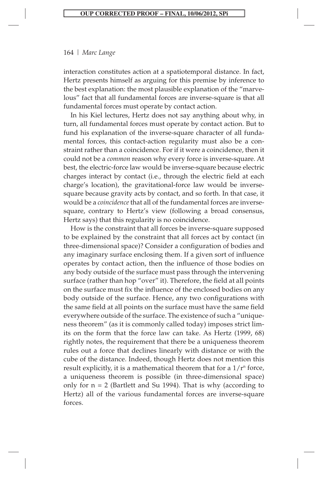interaction constitutes action at a spatiotemporal distance. In fact, Hertz presents himself as arguing for this premise by inference to the best explanation: the most plausible explanation of the "marvelous" fact that all fundamental forces are inverse-square is that all fundamental forces must operate by contact action.

 In his Kiel lectures, Hertz does not say anything about why, in turn, all fundamental forces must operate by contact action. But to fund his explanation of the inverse-square character of all fundamental forces, this contact-action regularity must also be a constraint rather than a coincidence. For if it were a coincidence, then it could not be a *common* reason why every force is inverse-square. At best, the electric-force law would be inverse-square because electric charges interact by contact (i.e., through the electric field at each charge's location), the gravitational-force law would be inversesquare because gravity acts by contact, and so forth. In that case, it would be a *coincidence* that all of the fundamental forces are inversesquare, contrary to Hertz's view (following a broad consensus, Hertz says) that this regularity is no coincidence.

 How is the constraint that all forces be inverse-square supposed to be explained by the constraint that all forces act by contact (in three-dimensional space)? Consider a configuration of bodies and any imaginary surface enclosing them. If a given sort of influence operates by contact action, then the influence of those bodies on any body outside of the surface must pass through the intervening surface (rather than hop "over" it). Therefore, the field at all points on the surface must fix the influence of the enclosed bodies on any body outside of the surface. Hence, any two configurations with the same field at all points on the surface must have the same field everywhere outside of the surface. The existence of such a "uniqueness theorem" (as it is commonly called today) imposes strict limits on the form that the force law can take. As Hertz (1999, 68) rightly notes, the requirement that there be a uniqueness theorem rules out a force that declines linearly with distance or with the cube of the distance. Indeed, though Hertz does not mention this result explicitly, it is a mathematical theorem that for a  $1/r^n$  force, a uniqueness theorem is possible (in three-dimensional space) only for  $n = 2$  (Bartlett and Su 1994). That is why (according to Hertz) all of the various fundamental forces are inverse-square forces.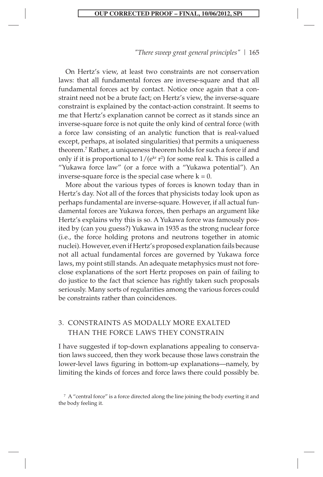On Hertz's view, at least two constraints are not conservation laws: that all fundamental forces are inverse-square and that all fundamental forces act by contact. Notice once again that a constraint need not be a brute fact; on Hertz's view, the inverse-square constraint is explained by the contact-action constraint. It seems to me that Hertz's explanation cannot be correct as it stands since an inverse-square force is not quite the only kind of central force (with a force law consisting of an analytic function that is real-valued except, perhaps, at isolated singularities) that permits a uniqueness theorem.<sup>7</sup> Rather, a uniqueness theorem holds for such a force if and only if it is proportional to  $1/(\mathrm{e}^{\mathrm{kr}} \, \mathrm{r}^2)$  for some real k. This is called a "Yukawa force law" (or a force with a "Yukawa potential"). An inverse-square force is the special case where  $k = 0$ .

 More about the various types of forces is known today than in Hertz's day. Not all of the forces that physicists today look upon as perhaps fundamental are inverse-square. However, if all actual fundamental forces are Yukawa forces, then perhaps an argument like Hertz's explains why this is so. A Yukawa force was famously posited by (can you guess?) Yukawa in 1935 as the strong nuclear force (i.e., the force holding protons and neutrons together in atomic nuclei). However, even if Hertz's proposed explanation fails because not all actual fundamental forces are governed by Yukawa force laws, my point still stands. An adequate metaphysics must not foreclose explanations of the sort Hertz proposes on pain of failing to do justice to the fact that science has rightly taken such proposals seriously. Many sorts of regularities among the various forces could be constraints rather than coincidences.

## 3. CONSTRAINTS AS MODALLY MORE EXALTED THAN THE FORCE LAWS THEY CONSTRAIN

 I have suggested if top-down explanations appealing to conservation laws succeed, then they work because those laws constrain the lower-level laws figuring in bottom-up explanations—namely, by limiting the kinds of forces and force laws there could possibly be.

 $7\,$  A "central force" is a force directed along the line joining the body exerting it and the body feeling it.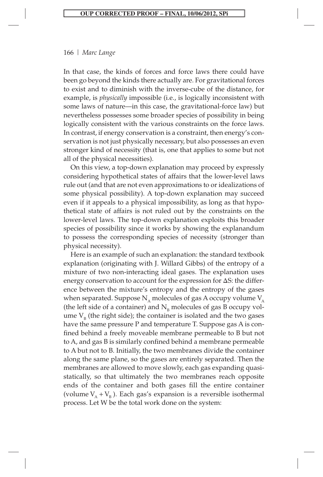In that case, the kinds of forces and force laws there could have been go beyond the kinds there actually are. For gravitational forces to exist and to diminish with the inverse-cube of the distance, for example, is *physically* impossible (i.e., is logically inconsistent with some laws of nature—in this case, the gravitational-force law) but nevertheless possesses some broader species of possibility in being logically consistent with the various constraints on the force laws. In contrast, if energy conservation is a constraint, then energy's conservation is not just physically necessary, but also possesses an even stronger kind of necessity (that is, one that applies to some but not all of the physical necessities).

 On this view, a top-down explanation may proceed by expressly considering hypothetical states of affairs that the lower-level laws rule out (and that are not even approximations to or idealizations of some physical possibility). A top-down explanation may succeed even if it appeals to a physical impossibility, as long as that hypothetical state of affairs is not ruled out by the constraints on the lower-level laws. The top-down explanation exploits this broader species of possibility since it works by showing the explanandum to possess the corresponding species of necessity (stronger than physical necessity).

 Here is an example of such an explanation: the standard textbook explanation (originating with J. Willard Gibbs) of the entropy of a mixture of two non-interacting ideal gases. The explanation uses energy conservation to account for the expression for ΔS: the difference between the mixture's entropy and the entropy of the gases when separated. Suppose  $N_A$  molecules of gas A occupy volume  $V_A$ (the left side of a container) and  $N<sub>B</sub>$  molecules of gas B occupy volume  $V_B$  (the right side); the container is isolated and the two gases have the same pressure P and temperature T. Suppose gas A is confined behind a freely moveable membrane permeable to B but not to A, and gas B is similarly confined behind a membrane permeable to A but not to B. Initially, the two membranes divide the container along the same plane, so the gases are entirely separated. Then the membranes are allowed to move slowly, each gas expanding quasistatically, so that ultimately the two membranes reach opposite ends of the container and both gases fill the entire container (volume  $V_A + V_B$ ). Each gas's expansion is a reversible isothermal process. Let W be the total work done on the system: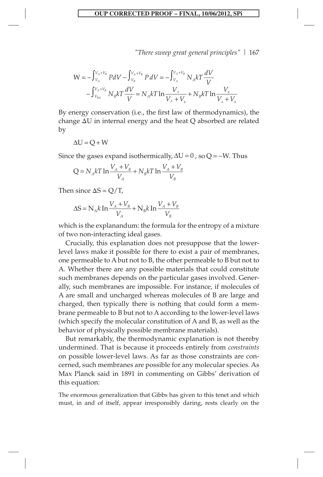$$
W = -\int_{V_A}^{V_A + V_B} P dV - \int_{V_B}^{V_A + V_B} P dV = -\int_{V_A}^{V_A + V_B} N_A kT \frac{dV}{V} - \int_{V_{BA}}^{V_A + V_B} N_B kT \frac{dV}{V} = N_A kT \ln \frac{V_A}{V_A + V_B} + N_B kT \ln \frac{V_B}{V_A + V_B}
$$

By energy conservation (i.e., the first law of thermodynamics), the change ΔU in internal energy and the heat Q absorbed are related by

$$
\Delta U = Q + W
$$

Since the gases expand isothermically,  $\Delta U = 0$ , so Q = –W. Thus

$$
Q = N_A kT \ln \frac{V_A + V_B}{V_A} + N_B kT \ln \frac{V_A + V_B}{V_B}
$$

Then since  $\Delta S = Q/T$ ,

$$
\Delta S = N_A k \ln \frac{V_A + V_B}{V_A} + N_B k \ln \frac{V_A + V_B}{V_B}
$$

 which is the explanandum: the formula for the entropy of a mixture of two non-interacting ideal gases.

 Crucially, this explanation does not presuppose that the lowerlevel laws make it possible for there to exist a pair of membranes, one permeable to A but not to B, the other permeable to B but not to A. Whether there are any possible materials that could constitute such membranes depends on the particular gases involved. Generally, such membranes are impossible. For instance, if molecules of A are small and uncharged whereas molecules of B are large and charged, then typically there is nothing that could form a membrane permeable to B but not to A according to the lower-level laws (which specify the molecular constitution of A and B, as well as the behavior of physically possible membrane materials).

 But remarkably, the thermodynamic explanation is not thereby undermined. That is because it proceeds entirely from *constraints* on possible lower-level laws. As far as those constraints are concerned, such membranes are possible for any molecular species. As Max Planck said in 1891 in commenting on Gibbs' derivation of this equation:

 The enormous generalization that Gibbs has given to this tenet and which must, in and of itself, appear irresponsibly daring, rests clearly on the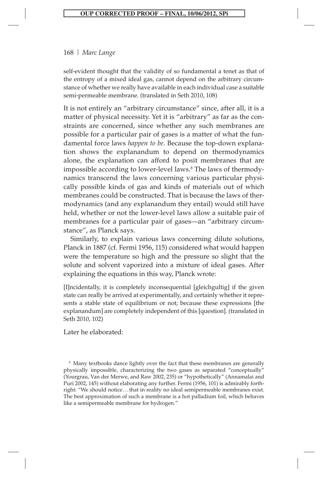self-evident thought that the validity of so fundamental a tenet as that of the entropy of a mixed ideal gas, cannot depend on the arbitrary circumstance of whether we really have available in each individual case a suitable semi-permeable membrane. (translated in Seth 2010, 108)

 It is not entirely an "arbitrary circumstance" since, after all, it is a matter of physical necessity. Yet it is "arbitrary" as far as the constraints are concerned, since whether any such membranes are possible for a particular pair of gases is a matter of what the fundamental force laws *happen to be* . Because the top-down explanation shows the explanandum to depend on thermodynamics alone, the explanation can afford to posit membranes that are impossible according to lower-level laws. 8 The laws of thermodynamics transcend the laws concerning various particular physically possible kinds of gas and kinds of materials out of which membranes could be constructed. That is because the laws of thermodynamics (and any explanandum they entail) would still have held, whether or not the lower-level laws allow a suitable pair of membranes for a particular pair of gases—an "arbitrary circumstance", as Planck says.

 Similarly, to explain various laws concerning dilute solutions, Planck in 1887 (cf. Fermi 1956, 115) considered what would happen were the temperature so high and the pressure so slight that the solute and solvent vaporized into a mixture of ideal gases. After explaining the equations in this way, Planck wrote:

 [I]ncidentally, it is completely inconsequential [gleichgultig] if the given state can really be arrived at experimentally, and certainly whether it represents a stable state of equilibrium or not; because these expressions [the explanandum] are completely independent of this [question]. (translated in Seth 2010, 102)

Later he elaborated:

8 Many textbooks dance lightly over the fact that these membranes are generally physically impossible, characterizing the two gases as separated "conceptually" ( Yourgrau, Van der Merwe, and Raw 2002 , 235) or "hypothetically" ( Annamalai and Puri 2002, 145) without elaborating any further. Fermi (1956, 101) is admirably forthright: "We should notice ... that in reality no ideal semipermeable membranes exist. The best approximation of such a membrane is a hot palladium foil, which behaves like a semipermeable membrane for hydrogen."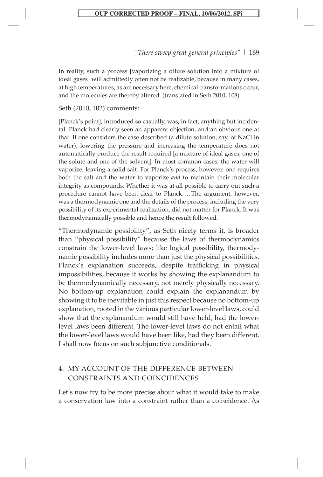In reality, such a process [vaporizing a dilute solution into a mixture of ideal gases] will admittedly often not be realizable, because in many cases, at high temperatures, as are necessary here, chemical transformations occur, and the molecules are thereby altered. (translated in Seth 2010, 108)

#### Seth (2010, 102) comments:

 [Planck's point], introduced so casually, was, in fact, anything but incidental. Planck had clearly seen an apparent objection, and an obvious one at that. If one considers the case described (a dilute solution, say, of NaCl in water), lowering the pressure and increasing the temperature does not automatically produce the result required [a mixture of ideal gases, one of the solute and one of the solvent]. In most common cases, the water will vaporize, leaving a solid salt. For Planck's process, however, one requires both the salt and the water to vaporize *and* to maintain their molecular integrity as compounds. Whether it was at all possible to carry out such a procedure cannot have been clear to Planck....The argument, however, was a thermodynamic one and the details of the process, including the very possibility of its experimental realization, did not matter for Planck. It was thermodynamically possible and hence the result followed.

 "Thermodynamic possibility", as Seth nicely terms it, is broader than "physical possibility" because the laws of thermodynamics constrain the lower-level laws; like logical possibility, thermodynamic possibility includes more than just the physical possibilities. Planck's explanation succeeds, despite trafficking in physical impossibilities, because it works by showing the explanandum to be thermodynamically necessary, not merely physically necessary. No bottom-up explanation could explain the explanandum by showing it to be inevitable in just this respect because no bottom-up explanation, rooted in the various particular lower-level laws, could show that the explanandum would still have held, had the lowerlevel laws been different. The lower-level laws do not entail what the lower-level laws would have been like, had they been different. I shall now focus on such subjunctive conditionals.

## 4. MY ACCOUNT OF THE DIFFERENCE BETWEEN CONSTRAINTS AND COINCIDENCES

 Let's now try to be more precise about what it would take to make a conservation law into a constraint rather than a coincidence. As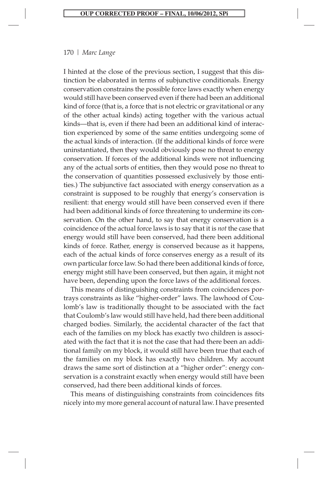I hinted at the close of the previous section, I suggest that this distinction be elaborated in terms of subjunctive conditionals. Energy conservation constrains the possible force laws exactly when energy would still have been conserved even if there had been an additional kind of force (that is, a force that is not electric or gravitational or any of the other actual kinds) acting together with the various actual kinds—that is, even if there had been an additional kind of interaction experienced by some of the same entities undergoing some of the actual kinds of interaction. (If the additional kinds of force were uninstantiated, then they would obviously pose no threat to energy conservation. If forces of the additional kinds were not influencing any of the actual sorts of entities, then they would pose no threat to the conservation of quantities possessed exclusively by those entities.) The subjunctive fact associated with energy conservation as a constraint is supposed to be roughly that energy's conservation is resilient: that energy would still have been conserved even if there had been additional kinds of force threatening to undermine its conservation. On the other hand, to say that energy conservation is a coincidence of the actual force laws is to say that it is *not* the case that energy would still have been conserved, had there been additional kinds of force. Rather, energy is conserved because as it happens, each of the actual kinds of force conserves energy as a result of its own particular force law. So had there been additional kinds of force, energy might still have been conserved, but then again, it might not have been, depending upon the force laws of the additional forces.

 This means of distinguishing constraints from coincidences portrays constraints as like "higher-order" laws. The lawhood of Coulomb's law is traditionally thought to be associated with the fact that Coulomb's law would still have held, had there been additional charged bodies. Similarly, the accidental character of the fact that each of the families on my block has exactly two children is associated with the fact that it is not the case that had there been an additional family on my block, it would still have been true that each of the families on my block has exactly two children. My account draws the same sort of distinction at a "higher order": energy conservation is a constraint exactly when energy would still have been conserved, had there been additional kinds of forces.

This means of distinguishing constraints from coincidences fits nicely into my more general account of natural law. I have presented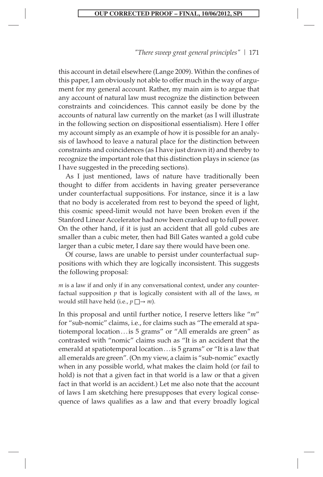this account in detail elsewhere (Lange 2009). Within the confines of this paper, I am obviously not able to offer much in the way of argument for my general account. Rather, my main aim is to argue that any account of natural law must recognize the distinction between constraints and coincidences. This cannot easily be done by the accounts of natural law currently on the market (as I will illustrate in the following section on dispositional essentialism). Here I offer my account simply as an example of how it is possible for an analysis of lawhood to leave a natural place for the distinction between constraints and coincidences (as I have just drawn it) and thereby to recognize the important role that this distinction plays in science (as I have suggested in the preceding sections).

 As I just mentioned, laws of nature have traditionally been thought to differ from accidents in having greater perseverance under counterfactual suppositions. For instance, since it is a law that no body is accelerated from rest to beyond the speed of light, this cosmic speed-limit would not have been broken even if the Stanford Linear Accelerator had now been cranked up to full power. On the other hand, if it is just an accident that all gold cubes are smaller than a cubic meter, then had Bill Gates wanted a gold cube larger than a cubic meter, I dare say there would have been one.

 Of course, laws are unable to persist under counterfactual suppositions with which they are logically inconsistent. This suggests the following proposal:

*m* is a law if and only if in any conversational context, under any counterfactual supposition *p* that is logically consistent with all of the laws, *m* would still have held (i.e.,  $p \Box \rightarrow m$ ).

In this proposal and until further notice, I reserve letters like "m" for "sub-nomic" claims, i.e., for claims such as "The emerald at spatiotemporal location . . . is 5 grams" or "All emeralds are green" as contrasted with "nomic" claims such as "It is an accident that the emerald at spatiotemporal location . . . is 5 grams" or "It is a law that all emeralds are green". (On my view, a claim is "sub-nomic" exactly when in any possible world, what makes the claim hold (or fail to hold) is not that a given fact in that world is a law or that a given fact in that world is an accident.) Let me also note that the account of laws I am sketching here presupposes that every logical consequence of laws qualifies as a law and that every broadly logical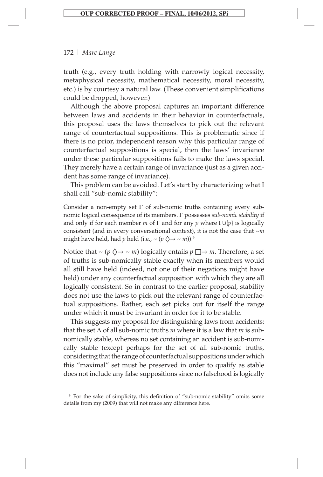truth (e.g., every truth holding with narrowly logical necessity, metaphysical necessity, mathematical necessity, moral necessity, etc.) is by courtesy a natural law. (These convenient simplifications could be dropped, however.)

 Although the above proposal captures an important difference between laws and accidents in their behavior in counterfactuals, this proposal uses the laws themselves to pick out the relevant range of counterfactual suppositions. This is problematic since if there is no prior, independent reason why this particular range of counterfactual suppositions is special, then the laws' invariance under these particular suppositions fails to make the laws special. They merely have a certain range of invariance (just as a given accident has some range of invariance).

 This problem can be avoided. Let's start by characterizing what I shall call "sub-nomic stability":

Consider a non-empty set  $\Gamma$  of sub-nomic truths containing every subnomic logical consequence of its members. Γ possesses *sub-nomic stability* if and only if for each member *m* of  $\Gamma$  and for any *p* where  $\Gamma \cup \{p\}$  is logically consistent (and in every conversational context), it is not the case that  $\sim m$ might have held, had *p* held (i.e.,  $\sim (p \diamondsuit \rightarrow \sim m)$ ).<sup>9</sup>

Notice that  $\sim (p \diamondsuit \rightarrow \sim m)$  logically entails  $p \square \rightarrow m$ . Therefore, a set of truths is sub-nomically stable exactly when its members would all still have held (indeed, not one of their negations might have held) under any counterfactual supposition with which they are all logically consistent. So in contrast to the earlier proposal, stability does not use the laws to pick out the relevant range of counterfactual suppositions. Rather, each set picks out for itself the range under which it must be invariant in order for it to be stable.

 This suggests my proposal for distinguishing laws from accidents: that the set Λ of all sub-nomic truths *m* where it is a law that *m* is subnomically stable, whereas no set containing an accident is sub-nomically stable (except perhaps for the set of all sub-nomic truths, considering that the range of counterfactual suppositions under which this "maximal" set must be preserved in order to qualify as stable does not include any false suppositions since no falsehood is logically

<sup>&</sup>lt;sup>9</sup> For the sake of simplicity, this definition of "sub-nomic stability" omits some details from my (2009) that will not make any difference here.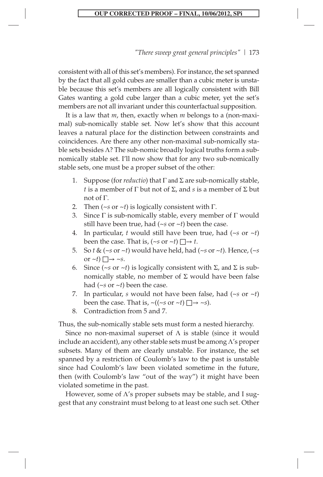consistent with all of this set's members). For instance, the set spanned by the fact that all gold cubes are smaller than a cubic meter is unstable because this set's members are all logically consistent with Bill Gates wanting a gold cube larger than a cubic meter, yet the set's members are not all invariant under this counterfactual supposition.

It is a law that *m*, then, exactly when *m* belongs to a (non-maximal) sub-nomically stable set. Now let's show that this account leaves a natural place for the distinction between constraints and coincidences. Are there any other non-maximal sub-nomically stable sets besides Λ? The sub-nomic broadly logical truths form a subnomically stable set. I'll now show that for any two sub-nomically stable sets, one must be a proper subset of the other:

- 1. Suppose (for *reductio*) that  $\Gamma$  and  $\Sigma$  are sub-nomically stable, *t* is a member of Γ but not of Σ, and *s* is a member of Σ but not of Γ.
- 2. Then (~ *s* or ~ *t* ) is logically consistent with Γ.
- 3. Since Γ is sub-nomically stable, every member of Γ would still have been true, had  $(\sim s$  or  $\nsim t$ ) been the case.
- 4. In particular, *t* would still have been true, had  $(\sim s \text{ or } \sim t)$ been the case. That is,  $(\sim s \text{ or } \sim t) \square \rightarrow t$ .
- 5. So  $t \& (-s \text{ or } -t)$  would have held, had  $(-s \text{ or } -t)$ . Hence,  $(-s \text{ or } -t)$ or  $\sim t$ )  $\Box \rightarrow \sim s$ .
- 6. Since ( $\sim$ s or  $\sim$ *t*) is logically consistent with Σ, and Σ is subnomically stable, no member of Σ would have been false had  $(\sim s \text{ or } \sim t)$  been the case.
- 7. In particular, *s* would not have been false, had ( $\sim$ s or  $\sim$ t) been the case. That is,  $\sim ((\sim s \text{ or } \sim t) \sqcap \rightarrow \sim s)$ .
- 8. Contradiction from 5 and 7.

Thus, the sub-nomically stable sets must form a nested hierarchy.

 Since no non-maximal superset of Λ is stable (since it would include an accident), any other stable sets must be among Λ's proper subsets. Many of them are clearly unstable. For instance, the set spanned by a restriction of Coulomb's law to the past is unstable since had Coulomb's law been violated sometime in the future, then (with Coulomb's law "out of the way") it might have been violated sometime in the past.

 However, some of Λ's proper subsets may be stable, and I suggest that any constraint must belong to at least one such set. Other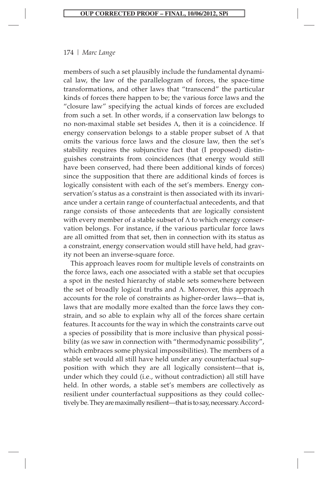members of such a set plausibly include the fundamental dynamical law, the law of the parallelogram of forces, the space-time transformations, and other laws that "transcend" the particular kinds of forces there happen to be; the various force laws and the "closure law" specifying the actual kinds of forces are excluded from such a set. In other words, if a conservation law belongs to no non-maximal stable set besides Λ, then it is a coincidence. If energy conservation belongs to a stable proper subset of Λ that omits the various force laws and the closure law, then the set's stability requires the subjunctive fact that (I proposed) distinguishes constraints from coincidences (that energy would still have been conserved, had there been additional kinds of forces) since the supposition that there are additional kinds of forces is logically consistent with each of the set's members. Energy conservation's status as a constraint is then associated with its invariance under a certain range of counterfactual antecedents, and that range consists of those antecedents that are logically consistent with every member of a stable subset of Λ to which energy conservation belongs. For instance, if the various particular force laws are all omitted from that set, then in connection with its status as a constraint, energy conservation would still have held, had gravity not been an inverse-square force.

 This approach leaves room for multiple levels of constraints on the force laws, each one associated with a stable set that occupies a spot in the nested hierarchy of stable sets somewhere between the set of broadly logical truths and Λ. Moreover, this approach accounts for the role of constraints as higher-order laws—that is, laws that are modally more exalted than the force laws they constrain, and so able to explain why all of the forces share certain features. It accounts for the way in which the constraints carve out a species of possibility that is more inclusive than physical possibility (as we saw in connection with "thermodynamic possibility", which embraces some physical impossibilities). The members of a stable set would all still have held under any counterfactual supposition with which they are all logically consistent—that is, under which they could (i.e., without contradiction) all still have held. In other words, a stable set's members are collectively as resilient under counterfactual suppositions as they could collectively be. They are maximally resilient—that is to say, necessary. Accord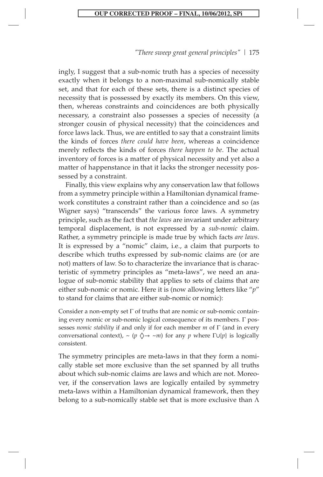ingly, I suggest that a sub-nomic truth has a species of necessity exactly when it belongs to a non-maximal sub-nomically stable set, and that for each of these sets, there is a distinct species of necessity that is possessed by exactly its members. On this view, then, whereas constraints and coincidences are both physically necessary, a constraint also possesses a species of necessity (a stronger cousin of physical necessity) that the coincidences and force laws lack. Thus, we are entitled to say that a constraint limits the kinds of forces *there could have been*, whereas a coincidence merely reflects the kinds of forces *there happen to be*. The actual inventory of forces is a matter of physical necessity and yet also a matter of happenstance in that it lacks the stronger necessity possessed by a constraint.

 Finally, this view explains why any conservation law that follows from a symmetry principle within a Hamiltonian dynamical framework constitutes a constraint rather than a coincidence and so (as Wigner says) "transcends" the various force laws. A symmetry principle, such as the fact that *the laws* are invariant under arbitrary temporal displacement, is not expressed by a *sub-nomic* claim. Rather, a symmetry principle is made true by which facts *are laws* . It is expressed by a "nomic" claim, i.e., a claim that purports to describe which truths expressed by sub-nomic claims are (or are not) matters of law. So to characterize the invariance that is characteristic of symmetry principles as "meta-laws", we need an analogue of sub-nomic stability that applies to sets of claims that are either sub-nomic or nomic. Here it is (now allowing letters like " $p$ " to stand for claims that are either sub-nomic or nomic):

 Consider a non-empty set Γ of truths that are nomic or sub-nomic containing every nomic or sub-nomic logical consequence of its members. Γ possesses *nomic stability* if and only if for each member *m* of Γ (and in every conversational context), ~ ( $p \Diamond \rightarrow \neg m$ ) for any  $p$  where  $\Gamma \cup \{p\}$  is logically consistent.

 The symmetry principles are meta-laws in that they form a nomically stable set more exclusive than the set spanned by all truths about which sub-nomic claims are laws and which are not. Moreover, if the conservation laws are logically entailed by symmetry meta-laws within a Hamiltonian dynamical framework, then they belong to a sub-nomically stable set that is more exclusive than Λ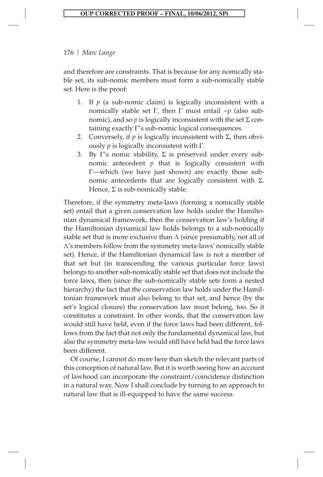and therefore are constraints. That is because for any nomically stable set, its sub-nomic members must form a sub-nomically stable set. Here is the proof:

- 1. If  $p$  (a sub-nomic claim) is logically inconsistent with a nomically stable set Γ, then Γ must entail  $~\sim p$  (also subnomic), and so  $p$  is logically inconsistent with the set  $\Sigma$  containing exactly Γ's sub-nomic logical consequences.
- 2. Conversely, if  $p$  is logically inconsistent with  $\Sigma$ , then obviously *p* is logically inconsistent with Γ.
- 3. By Γ's nomic stability,  $\Sigma$  is preserved under every subnomic antecedent *p* that is logically consistent with Γ—which (we have just shown) are exactly those subnomic antecedents that are logically consistent with Σ. Hence,  $\Sigma$  is sub-nomically stable.

 Therefore, if the symmetry meta-laws (forming a nomically stable set) entail that a given conservation law holds under the Hamiltonian dynamical framework, then the conservation law's holding if the Hamiltonian dynamical law holds belongs to a sub-nomically stable set that is more exclusive than  $\Lambda$  (since presumably, not all of Λ's members follow from the symmetry meta-laws' nomically stable set). Hence, if the Hamiltonian dynamical law is not a member of that set but (in transcending the various particular force laws) belongs to another sub-nomically stable set that does not include the force laws, then (since the sub-nomically stable sets form a nested hierarchy) the fact that the conservation law holds under the Hamiltonian framework must also belong to that set, and hence (by the set's logical closure) the conservation law must belong, too. So it constitutes a constraint. In other words, that the conservation law would still have held, even if the force laws had been different, follows from the fact that not only the fundamental dynamical law, but also the symmetry meta-law would still have held had the force laws been different.

 Of course, I cannot do more here than sketch the relevant parts of this conception of natural law. But it is worth seeing how an account of lawhood can incorporate the constraint/coincidence distinction in a natural way. Now I shall conclude by turning to an approach to natural law that is ill-equipped to have the same success.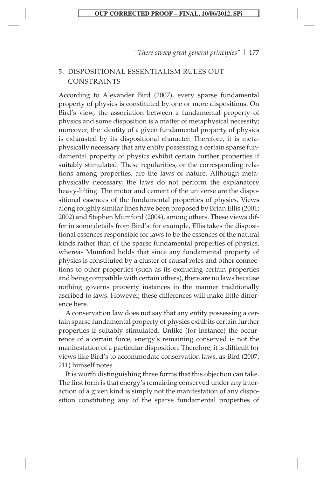# 5. DISPOSITIONAL ESSENTIALISM RULES OUT CONSTRAINTS

According to Alexander Bird (2007), every sparse fundamental property of physics is constituted by one or more dispositions. On Bird's view, the association between a fundamental property of physics and some disposition is a matter of metaphysical necessity; moreover, the identity of a given fundamental property of physics is exhausted by its dispositional character. Therefore, it is metaphysically necessary that any entity possessing a certain sparse fundamental property of physics exhibit certain further properties if suitably stimulated. These regularities, or the corresponding relations among properties, are the laws of nature. Although metaphysically necessary, the laws do not perform the explanatory heavy-lifting. The motor and cement of the universe are the dispositional essences of the fundamental properties of physics. Views along roughly similar lines have been proposed by Brian Ellis (2001; 2002) and Stephen Mumford (2004), among others. These views differ in some details from Bird's: for example, Ellis takes the dispositional essences responsible for laws to be the essences of the natural kinds rather than of the sparse fundamental properties of physics, whereas Mumford holds that since any fundamental property of physics is constituted by a cluster of causal roles and other connections to other properties (such as its excluding certain properties and being compatible with certain others), there are no laws because nothing governs property instances in the manner traditionally ascribed to laws. However, these differences will make little difference here.

 A conservation law does not say that any entity possessing a certain sparse fundamental property of physics exhibits certain further properties if suitably stimulated. Unlike (for instance) the occurrence of a certain force, energy's remaining conserved is not the manifestation of a particular disposition. Therefore, it is difficult for views like Bird's to accommodate conservation laws, as Bird (2007, 211) himself notes.

 It is worth distinguishing three forms that this objection can take. The first form is that energy's remaining conserved under any interaction of a given kind is simply not the manifestation of any disposition constituting any of the sparse fundamental properties of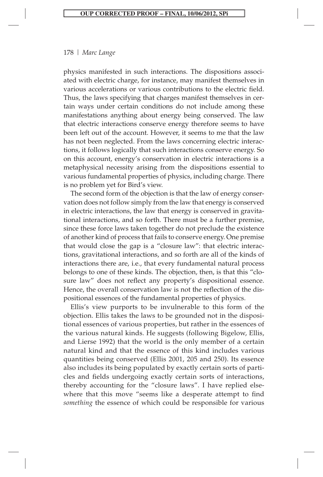physics manifested in such interactions. The dispositions associated with electric charge, for instance, may manifest themselves in various accelerations or various contributions to the electric field. Thus, the laws specifying that charges manifest themselves in certain ways under certain conditions do not include among these manifestations anything about energy being conserved. The law that electric interactions conserve energy therefore seems to have been left out of the account. However, it seems to me that the law has not been neglected. From the laws concerning electric interactions, it follows logically that such interactions conserve energy. So on this account, energy's conservation in electric interactions is a metaphysical necessity arising from the dispositions essential to various fundamental properties of physics, including charge. There is no problem yet for Bird's view.

 The second form of the objection is that the law of energy conservation does not follow simply from the law that energy is conserved in electric interactions, the law that energy is conserved in gravitational interactions, and so forth. There must be a further premise, since these force laws taken together do not preclude the existence of another kind of process that fails to conserve energy. One premise that would close the gap is a "closure law": that electric interactions, gravitational interactions, and so forth are all of the kinds of interactions there are, i.e., that every fundamental natural process belongs to one of these kinds. The objection, then, is that this "closure law" does not reflect any property's dispositional essence. Hence, the overall conservation law is not the reflection of the dispositional essences of the fundamental properties of physics.

 Ellis's view purports to be invulnerable to this form of the objection. Ellis takes the laws to be grounded not in the dispositional essences of various properties, but rather in the essences of the various natural kinds. He suggests (following Bigelow, Ellis, and Lierse 1992) that the world is the only member of a certain natural kind and that the essence of this kind includes various quantities being conserved (Ellis 2001, 205 and 250). Its essence also includes its being populated by exactly certain sorts of particles and fields undergoing exactly certain sorts of interactions, thereby accounting for the "closure laws". I have replied elsewhere that this move "seems like a desperate attempt to find *something* the essence of which could be responsible for various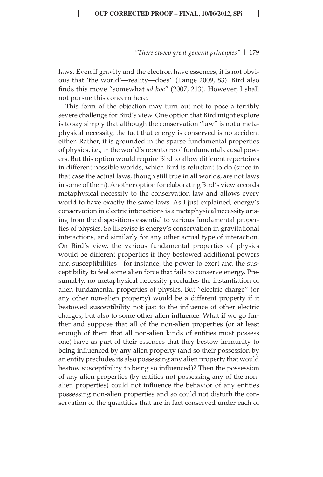laws. Even if gravity and the electron have essences, it is not obvious that 'the world'—reality—does" (Lange 2009, 83). Bird also finds this move "somewhat *ad hoc"* (2007, 213). However, I shall not pursue this concern here.

 This form of the objection may turn out not to pose a terribly severe challenge for Bird's view. One option that Bird might explore is to say simply that although the conservation "law" is not a metaphysical necessity, the fact that energy is conserved is no accident either. Rather, it is grounded in the sparse fundamental properties of physics, i.e., in the world's repertoire of fundamental causal powers. But this option would require Bird to allow different repertoires in different possible worlds, which Bird is reluctant to do (since in that case the actual laws, though still true in all worlds, are not laws in some of them). Another option for elaborating Bird's view accords metaphysical necessity to the conservation law and allows every world to have exactly the same laws. As I just explained, energy's conservation in electric interactions is a metaphysical necessity arising from the dispositions essential to various fundamental properties of physics. So likewise is energy's conservation in gravitational interactions, and similarly for any other actual type of interaction. On Bird's view, the various fundamental properties of physics would be different properties if they bestowed additional powers and susceptibilities—for instance, the power to exert and the susceptibility to feel some alien force that fails to conserve energy. Presumably, no metaphysical necessity precludes the instantiation of alien fundamental properties of physics. But "electric charge" (or any other non-alien property) would be a different property if it bestowed susceptibility not just to the influence of other electric charges, but also to some other alien influence. What if we go further and suppose that all of the non-alien properties (or at least enough of them that all non-alien kinds of entities must possess one) have as part of their essences that they bestow immunity to being influenced by any alien property (and so their possession by an entity precludes its also possessing any alien property that would bestow susceptibility to being so influenced)? Then the possession of any alien properties (by entities not possessing any of the nonalien properties) could not influence the behavior of any entities possessing non-alien properties and so could not disturb the conservation of the quantities that are in fact conserved under each of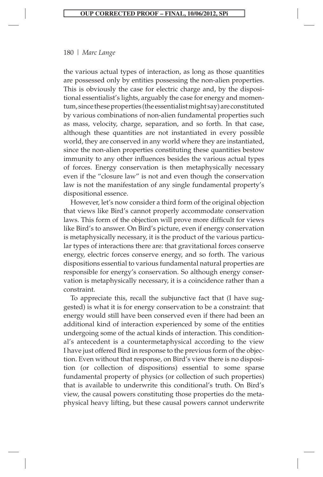the various actual types of interaction, as long as those quantities are possessed only by entities possessing the non-alien properties. This is obviously the case for electric charge and, by the dispositional essentialist's lights, arguably the case for energy and momentum, since these properties (the essentialist might say) are constituted by various combinations of non-alien fundamental properties such as mass, velocity, charge, separation, and so forth. In that case, although these quantities are not instantiated in every possible world, they are conserved in any world where they are instantiated, since the non-alien properties constituting these quantities bestow immunity to any other influences besides the various actual types of forces. Energy conservation is then metaphysically necessary even if the "closure law" is not and even though the conservation law is not the manifestation of any single fundamental property's dispositional essence.

 However, let's now consider a third form of the original objection that views like Bird's cannot properly accommodate conservation laws. This form of the objection will prove more difficult for views like Bird's to answer. On Bird's picture, even if energy conservation is metaphysically necessary, it is the product of the various particular types of interactions there are: that gravitational forces conserve energy, electric forces conserve energy, and so forth. The various dispositions essential to various fundamental natural properties are responsible for energy's conservation. So although energy conservation is metaphysically necessary, it is a coincidence rather than a constraint.

 To appreciate this, recall the subjunctive fact that (I have suggested) is what it is for energy conservation to be a constraint: that energy would still have been conserved even if there had been an additional kind of interaction experienced by some of the entities undergoing some of the actual kinds of interaction. This conditional's antecedent is a countermetaphysical according to the view I have just offered Bird in response to the previous form of the objection. Even without that response, on Bird's view there is no disposition (or collection of dispositions) essential to some sparse fundamental property of physics (or collection of such properties) that is available to underwrite this conditional's truth. On Bird's view, the causal powers constituting those properties do the metaphysical heavy lifting, but these causal powers cannot underwrite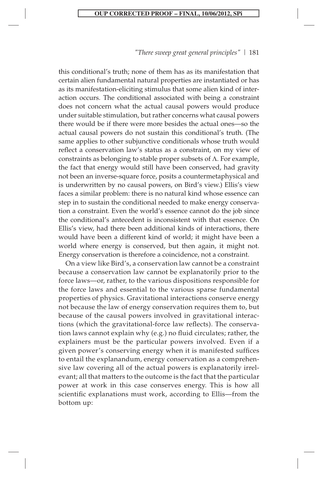this conditional's truth; none of them has as its manifestation that certain alien fundamental natural properties are instantiated or has as its manifestation-eliciting stimulus that some alien kind of interaction occurs. The conditional associated with being a constraint does not concern what the actual causal powers would produce under suitable stimulation, but rather concerns what causal powers there would be if there were more besides the actual ones—so the actual causal powers do not sustain this conditional's truth. (The same applies to other subjunctive conditionals whose truth would reflect a conservation law's status as a constraint, on my view of constraints as belonging to stable proper subsets of Λ. For example, the fact that energy would still have been conserved, had gravity not been an inverse-square force, posits a countermetaphysical and is underwritten by no causal powers, on Bird's view.) Ellis's view faces a similar problem: there is no natural kind whose essence can step in to sustain the conditional needed to make energy conservation a constraint. Even the world's essence cannot do the job since the conditional's antecedent is inconsistent with that essence. On Ellis's view, had there been additional kinds of interactions, there would have been a different kind of world; it might have been a world where energy is conserved, but then again, it might not. Energy conservation is therefore a coincidence, not a constraint.

 On a view like Bird's, a conservation law cannot be a constraint because a conservation law cannot be explanatorily prior to the force laws—or, rather, to the various dispositions responsible for the force laws and essential to the various sparse fundamental properties of physics. Gravitational interactions conserve energy not because the law of energy conservation requires them to, but because of the causal powers involved in gravitational interactions (which the gravitational-force law reflects). The conservation laws cannot explain why (e.g.) no fluid circulates; rather, the explainers must be the particular powers involved. Even if a given power's conserving energy when it is manifested suffices to entail the explanandum, energy conservation as a comprehensive law covering all of the actual powers is explanatorily irrelevant; all that matters to the outcome is the fact that the particular power at work in this case conserves energy. This is how all scientific explanations must work, according to Ellis-from the bottom up: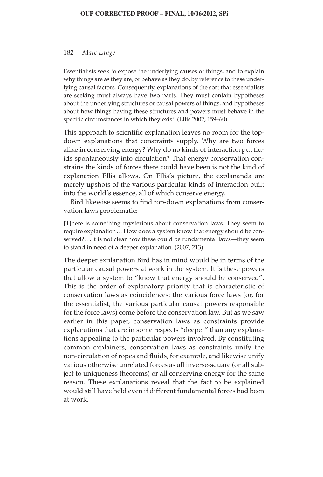Essentialists seek to expose the underlying causes of things, and to explain why things are as they are, or behave as they do, by reference to these underlying causal factors. Consequently, explanations of the sort that essentialists are seeking must always have two parts. They must contain hypotheses about the underlying structures or causal powers of things, and hypotheses about how things having these structures and powers must behave in the specific circumstances in which they exist. (Ellis 2002, 159-60)

This approach to scientific explanation leaves no room for the topdown explanations that constraints supply. Why are two forces alike in conserving energy? Why do no kinds of interaction put fluids spontaneously into circulation? That energy conservation constrains the kinds of forces there could have been is not the kind of explanation Ellis allows. On Ellis's picture, the explananda are merely upshots of the various particular kinds of interaction built into the world's essence, all of which conserve energy.

Bird likewise seems to find top-down explanations from conservation laws problematic:

 [T]here is something mysterious about conservation laws. They seem to require explanation ... How does a system know that energy should be conserved?...It is not clear how these could be fundamental laws—they seem to stand in need of a deeper explanation. (2007, 213)

 The deeper explanation Bird has in mind would be in terms of the particular causal powers at work in the system. It is these powers that allow a system to "know that energy should be conserved". This is the order of explanatory priority that is characteristic of conservation laws as coincidences: the various force laws (or, for the essentialist, the various particular causal powers responsible for the force laws) come before the conservation law. But as we saw earlier in this paper, conservation laws as constraints provide explanations that are in some respects "deeper" than any explanations appealing to the particular powers involved. By constituting common explainers, conservation laws as constraints unify the non-circulation of ropes and fluids, for example, and likewise unify various otherwise unrelated forces as all inverse-square (or all subject to uniqueness theorems) or all conserving energy for the same reason. These explanations reveal that the fact to be explained would still have held even if different fundamental forces had been at work.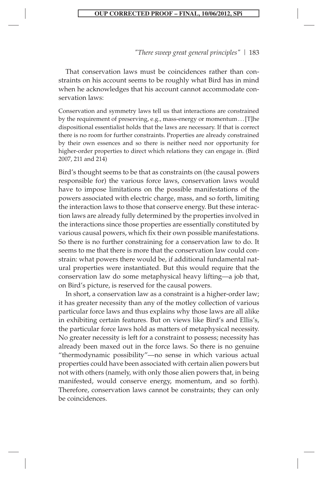That conservation laws must be coincidences rather than constraints on his account seems to be roughly what Bird has in mind when he acknowledges that his account cannot accommodate conservation laws:

 Conservation and symmetry laws tell us that interactions are constrained by the requirement of preserving, e.g., mass-energy or momentum... [T]he dispositional essentialist holds that the laws are necessary. If that is correct there is no room for further constraints. Properties are already constrained by their own essences and so there is neither need nor opportunity for higher-order properties to direct which relations they can engage in. (Bird 2007 , 211 and 214)

 Bird's thought seems to be that as constraints on (the causal powers responsible for) the various force laws, conservation laws would have to impose limitations on the possible manifestations of the powers associated with electric charge, mass, and so forth, limiting the interaction laws to those that conserve energy. But these interaction laws are already fully determined by the properties involved in the interactions since those properties are essentially constituted by various causal powers, which fix their own possible manifestations. So there is no further constraining for a conservation law to do. It seems to me that there is more that the conservation law could constrain: what powers there would be, if additional fundamental natural properties were instantiated. But this would require that the conservation law do some metaphysical heavy lifting—a job that, on Bird's picture, is reserved for the causal powers.

 In short, a conservation law as a constraint is a higher-order law; it has greater necessity than any of the motley collection of various particular force laws and thus explains why those laws are all alike in exhibiting certain features. But on views like Bird's and Ellis's, the particular force laws hold as matters of metaphysical necessity. No greater necessity is left for a constraint to possess; necessity has already been maxed out in the force laws. So there is no genuine "thermodynamic possibility"—no sense in which various actual properties could have been associated with certain alien powers but not with others (namely, with only those alien powers that, in being manifested, would conserve energy, momentum, and so forth). Therefore, conservation laws cannot be constraints; they can only be coincidences.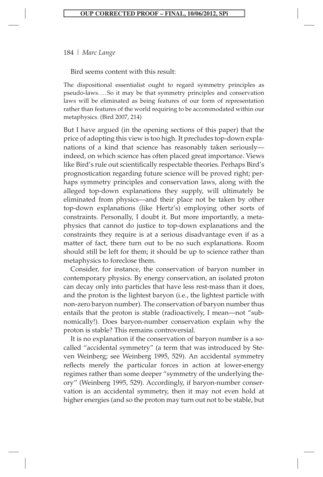Bird seems content with this result:

 The dispositional essentialist ought to regard symmetry principles as pseudo-laws. . . . So it may be that symmetry principles and conservation laws will be eliminated as being features of our form of representation rather than features of the world requiring to be accommodated within our metaphysics. (Bird 2007, 214)

 But I have argued (in the opening sections of this paper) that the price of adopting this view is too high. It precludes top-down explanations of a kind that science has reasonably taken seriously indeed, on which science has often placed great importance. Views like Bird's rule out scientifically respectable theories. Perhaps Bird's prognostication regarding future science will be proved right; perhaps symmetry principles and conservation laws, along with the alleged top-down explanations they supply, will ultimately be eliminated from physics—and their place not be taken by other top-down explanations (like Hertz's) employing other sorts of constraints. Personally, I doubt it. But more importantly, a metaphysics that cannot do justice to top-down explanations and the constraints they require is at a serious disadvantage even if as a matter of fact, there turn out to be no such explanations. Room should still be left for them; it should be up to science rather than metaphysics to foreclose them.

 Consider, for instance, the conservation of baryon number in contemporary physics. By energy conservation, an isolated proton can decay only into particles that have less rest-mass than it does, and the proton is the lightest baryon (i.e., the lightest particle with non-zero baryon number). The conservation of baryon number thus entails that the proton is stable (radioactively, I mean—not "subnomically!). Does baryon-number conservation explain why the proton is stable? This remains controversial.

 It is no explanation if the conservation of baryon number is a socalled "accidental symmetry" (a term that was introduced by Steven Weinberg; see Weinberg 1995 , 529). An accidental symmetry reflects merely the particular forces in action at lower-energy regimes rather than some deeper "symmetry of the underlying theory" (Weinberg 1995, 529). Accordingly, if baryon-number conservation is an accidental symmetry, then it may not even hold at higher energies (and so the proton may turn out not to be stable, but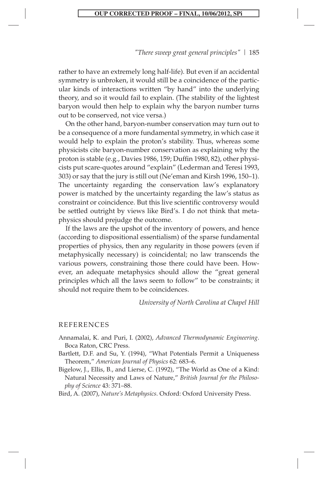rather to have an extremely long half-life). But even if an accidental symmetry is unbroken, it would still be a coincidence of the particular kinds of interactions written "by hand" into the underlying theory, and so it would fail to explain. (The stability of the lightest baryon would then help to explain why the baryon number turns out to be conserved, not vice versa.)

 On the other hand, baryon-number conservation may turn out to be a consequence of a more fundamental symmetry, in which case it would help to explain the proton's stability. Thus, whereas some physicists cite baryon-number conservation as explaining why the proton is stable (e.g., Davies 1986, 159; Duffin 1980, 82), other physicists put scare-quotes around "explain" (Lederman and Teresi 1993, 303) or say that the jury is still out (Ne'eman and Kirsh 1996, 150-1). The uncertainty regarding the conservation law's explanatory power is matched by the uncertainty regarding the law's status as constraint or coincidence. But this live scientific controversy would be settled outright by views like Bird's. I do not think that metaphysics should prejudge the outcome.

 If the laws are the upshot of the inventory of powers, and hence (according to dispositional essentialism) of the sparse fundamental properties of physics, then any regularity in those powers (even if metaphysically necessary) is coincidental; no law transcends the various powers, constraining those there could have been. However, an adequate metaphysics should allow the "great general principles which all the laws seem to follow" to be constraints; it should not require them to be coincidences.

 *University of North Carolina at Chapel Hill* 

#### REFERENCES

- Annamalai, K. and Puri, I. (2002), *Advanced Thermodynamic Engineering* . Boca Raton, CRC Press.
- Bartlett, D.F. and Su, Y. (1994), "What Potentials Permit a Uniqueness Theorem," *American Journal of Physics* 62: 683–6.
- Bigelow, J., Ellis, B., and Lierse, C. (1992), "The World as One of a Kind: Natural Necessity and Laws of Nature," *British Journal for the Philosophy of Science* 43: 371–88.

Bird, A. (2007), *Nature's Metaphysics* . Oxford: Oxford University Press.